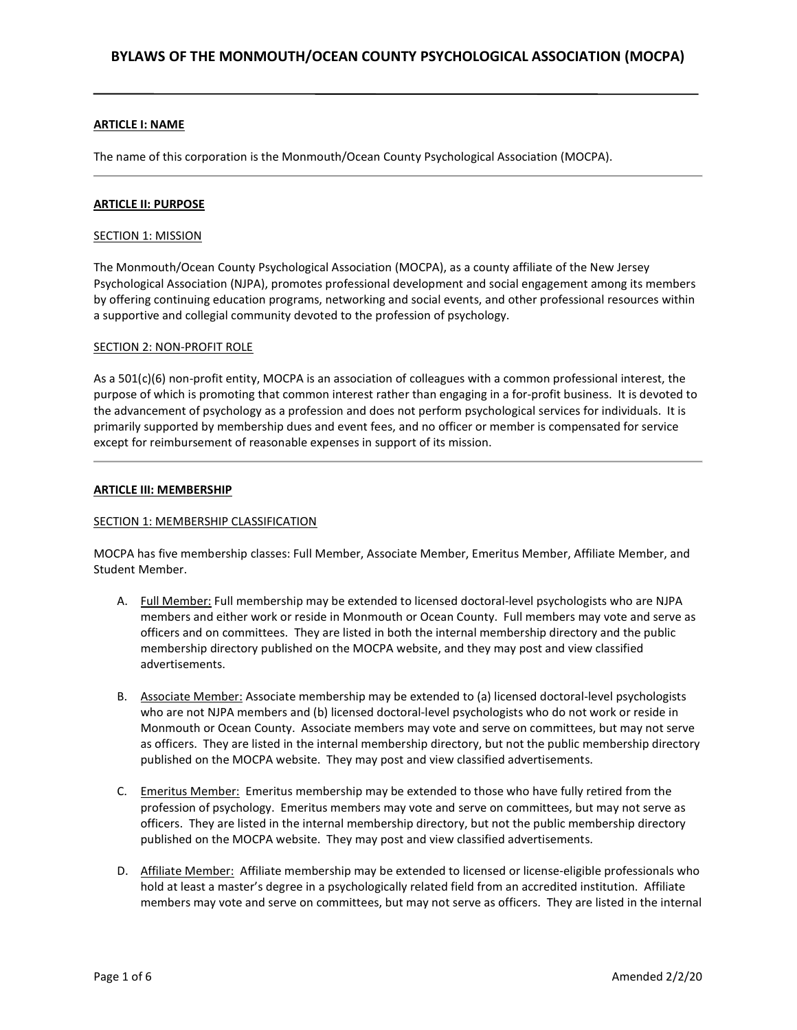### ARTICLE I: NAME

The name of this corporation is the Monmouth/Ocean County Psychological Association (MOCPA).

#### ARTICLE II: PURPOSE

#### SECTION 1: MISSION

The Monmouth/Ocean County Psychological Association (MOCPA), as a county affiliate of the New Jersey Psychological Association (NJPA), promotes professional development and social engagement among its members by offering continuing education programs, networking and social events, and other professional resources within a supportive and collegial community devoted to the profession of psychology.

#### SECTION 2: NON-PROFIT ROLE

As a 501(c)(6) non-profit entity, MOCPA is an association of colleagues with a common professional interest, the purpose of which is promoting that common interest rather than engaging in a for-profit business. It is devoted to the advancement of psychology as a profession and does not perform psychological services for individuals. It is primarily supported by membership dues and event fees, and no officer or member is compensated for service except for reimbursement of reasonable expenses in support of its mission.

#### ARTICLE III: MEMBERSHIP

### SECTION 1: MEMBERSHIP CLASSIFICATION

MOCPA has five membership classes: Full Member, Associate Member, Emeritus Member, Affiliate Member, and Student Member.

- A. Full Member: Full membership may be extended to licensed doctoral-level psychologists who are NJPA members and either work or reside in Monmouth or Ocean County. Full members may vote and serve as officers and on committees. They are listed in both the internal membership directory and the public membership directory published on the MOCPA website, and they may post and view classified advertisements.
- B. Associate Member: Associate membership may be extended to (a) licensed doctoral-level psychologists who are not NJPA members and (b) licensed doctoral-level psychologists who do not work or reside in Monmouth or Ocean County. Associate members may vote and serve on committees, but may not serve as officers. They are listed in the internal membership directory, but not the public membership directory published on the MOCPA website. They may post and view classified advertisements.
- C. Emeritus Member: Emeritus membership may be extended to those who have fully retired from the profession of psychology. Emeritus members may vote and serve on committees, but may not serve as officers. They are listed in the internal membership directory, but not the public membership directory published on the MOCPA website. They may post and view classified advertisements.
- D. Affiliate Member: Affiliate membership may be extended to licensed or license-eligible professionals who hold at least a master's degree in a psychologically related field from an accredited institution. Affiliate members may vote and serve on committees, but may not serve as officers. They are listed in the internal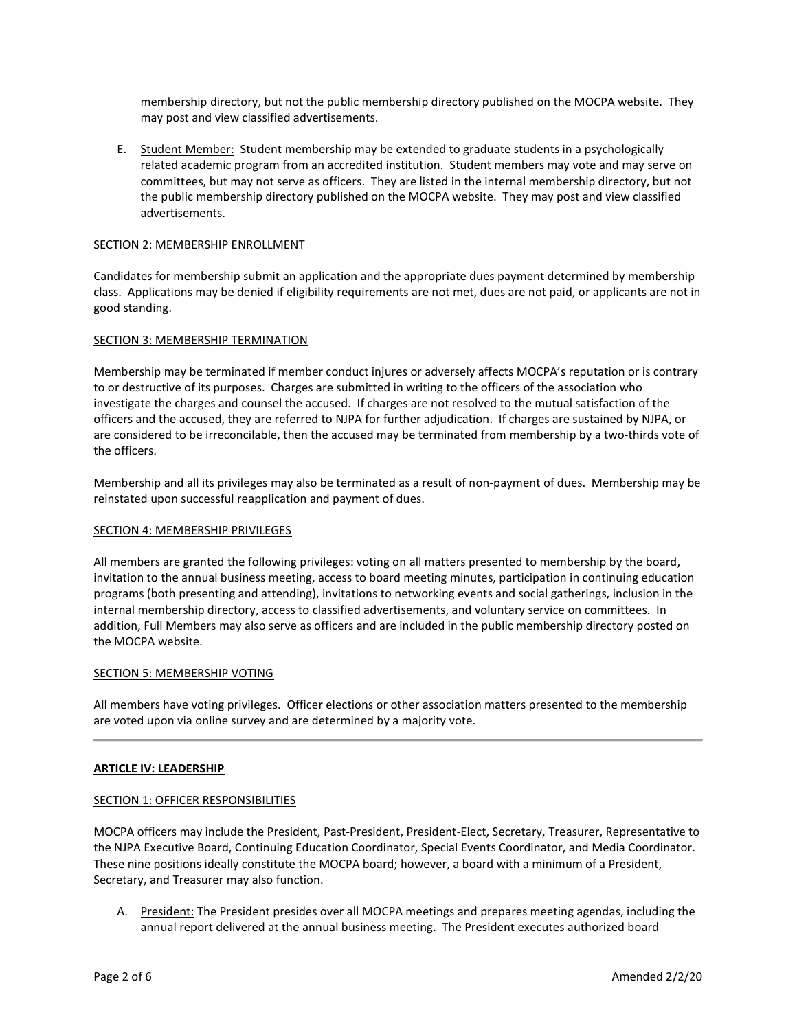membership directory, but not the public membership directory published on the MOCPA website. They may post and view classified advertisements.

E. Student Member: Student membership may be extended to graduate students in a psychologically related academic program from an accredited institution. Student members may vote and may serve on committees, but may not serve as officers. They are listed in the internal membership directory, but not the public membership directory published on the MOCPA website. They may post and view classified advertisements.

# SECTION 2: MEMBERSHIP ENROLLMENT

Candidates for membership submit an application and the appropriate dues payment determined by membership class. Applications may be denied if eligibility requirements are not met, dues are not paid, or applicants are not in good standing.

# SECTION 3: MEMBERSHIP TERMINATION

Membership may be terminated if member conduct injures or adversely affects MOCPA's reputation or is contrary to or destructive of its purposes. Charges are submitted in writing to the officers of the association who investigate the charges and counsel the accused. If charges are not resolved to the mutual satisfaction of the officers and the accused, they are referred to NJPA for further adjudication. If charges are sustained by NJPA, or are considered to be irreconcilable, then the accused may be terminated from membership by a two-thirds vote of the officers.

Membership and all its privileges may also be terminated as a result of non-payment of dues. Membership may be reinstated upon successful reapplication and payment of dues.

#### SECTION 4: MEMBERSHIP PRIVILEGES

All members are granted the following privileges: voting on all matters presented to membership by the board, invitation to the annual business meeting, access to board meeting minutes, participation in continuing education programs (both presenting and attending), invitations to networking events and social gatherings, inclusion in the internal membership directory, access to classified advertisements, and voluntary service on committees. In addition, Full Members may also serve as officers and are included in the public membership directory posted on the MOCPA website.

#### SECTION 5: MEMBERSHIP VOTING

All members have voting privileges. Officer elections or other association matters presented to the membership are voted upon via online survey and are determined by a majority vote.

#### ARTICLE IV: LEADERSHIP

#### SECTION 1: OFFICER RESPONSIBILITIES

MOCPA officers may include the President, Past-President, President-Elect, Secretary, Treasurer, Representative to the NJPA Executive Board, Continuing Education Coordinator, Special Events Coordinator, and Media Coordinator. These nine positions ideally constitute the MOCPA board; however, a board with a minimum of a President, Secretary, and Treasurer may also function.

A. President: The President presides over all MOCPA meetings and prepares meeting agendas, including the annual report delivered at the annual business meeting. The President executes authorized board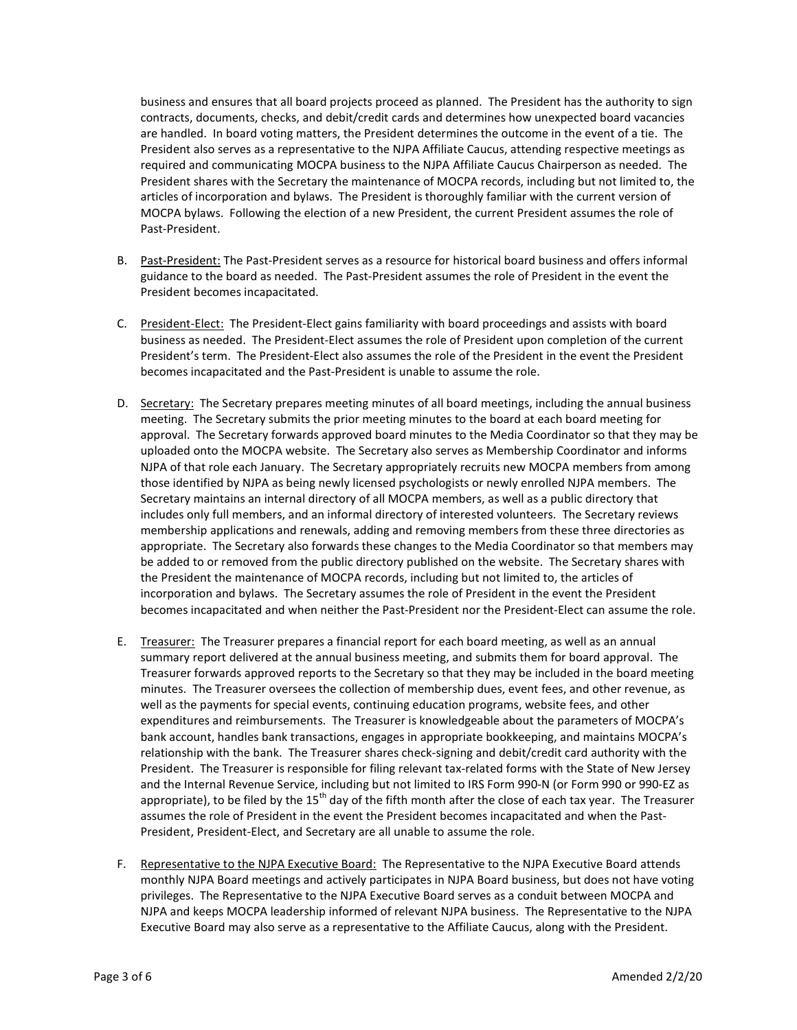business and ensures that all board projects proceed as planned. The President has the authority to sign contracts, documents, checks, and debit/credit cards and determines how unexpected board vacancies are handled. In board voting matters, the President determines the outcome in the event of a tie. The President also serves as a representative to the NJPA Affiliate Caucus, attending respective meetings as required and communicating MOCPA business to the NJPA Affiliate Caucus Chairperson as needed. The President shares with the Secretary the maintenance of MOCPA records, including but not limited to, the articles of incorporation and bylaws. The President is thoroughly familiar with the current version of MOCPA bylaws. Following the election of a new President, the current President assumes the role of Past-President.

- B. Past-President: The Past-President serves as a resource for historical board business and offers informal guidance to the board as needed. The Past-President assumes the role of President in the event the President becomes incapacitated.
- C. President-Elect: The President-Elect gains familiarity with board proceedings and assists with board business as needed. The President-Elect assumes the role of President upon completion of the current President's term. The President-Elect also assumes the role of the President in the event the President becomes incapacitated and the Past-President is unable to assume the role.
- D. Secretary: The Secretary prepares meeting minutes of all board meetings, including the annual business meeting. The Secretary submits the prior meeting minutes to the board at each board meeting for approval. The Secretary forwards approved board minutes to the Media Coordinator so that they may be uploaded onto the MOCPA website. The Secretary also serves as Membership Coordinator and informs NJPA of that role each January. The Secretary appropriately recruits new MOCPA members from among those identified by NJPA as being newly licensed psychologists or newly enrolled NJPA members. The Secretary maintains an internal directory of all MOCPA members, as well as a public directory that includes only full members, and an informal directory of interested volunteers. The Secretary reviews membership applications and renewals, adding and removing members from these three directories as appropriate. The Secretary also forwards these changes to the Media Coordinator so that members may be added to or removed from the public directory published on the website. The Secretary shares with the President the maintenance of MOCPA records, including but not limited to, the articles of incorporation and bylaws. The Secretary assumes the role of President in the event the President becomes incapacitated and when neither the Past-President nor the President-Elect can assume the role.
- E. Treasurer: The Treasurer prepares a financial report for each board meeting, as well as an annual summary report delivered at the annual business meeting, and submits them for board approval. The Treasurer forwards approved reports to the Secretary so that they may be included in the board meeting minutes. The Treasurer oversees the collection of membership dues, event fees, and other revenue, as well as the payments for special events, continuing education programs, website fees, and other expenditures and reimbursements. The Treasurer is knowledgeable about the parameters of MOCPA's bank account, handles bank transactions, engages in appropriate bookkeeping, and maintains MOCPA's relationship with the bank. The Treasurer shares check-signing and debit/credit card authority with the President. The Treasurer is responsible for filing relevant tax-related forms with the State of New Jersey and the Internal Revenue Service, including but not limited to IRS Form 990-N (or Form 990 or 990-EZ as appropriate), to be filed by the 15<sup>th</sup> day of the fifth month after the close of each tax year. The Treasurer assumes the role of President in the event the President becomes incapacitated and when the Past-President, President-Elect, and Secretary are all unable to assume the role.
- F. Representative to the NJPA Executive Board: The Representative to the NJPA Executive Board attends monthly NJPA Board meetings and actively participates in NJPA Board business, but does not have voting privileges. The Representative to the NJPA Executive Board serves as a conduit between MOCPA and NJPA and keeps MOCPA leadership informed of relevant NJPA business. The Representative to the NJPA Executive Board may also serve as a representative to the Affiliate Caucus, along with the President.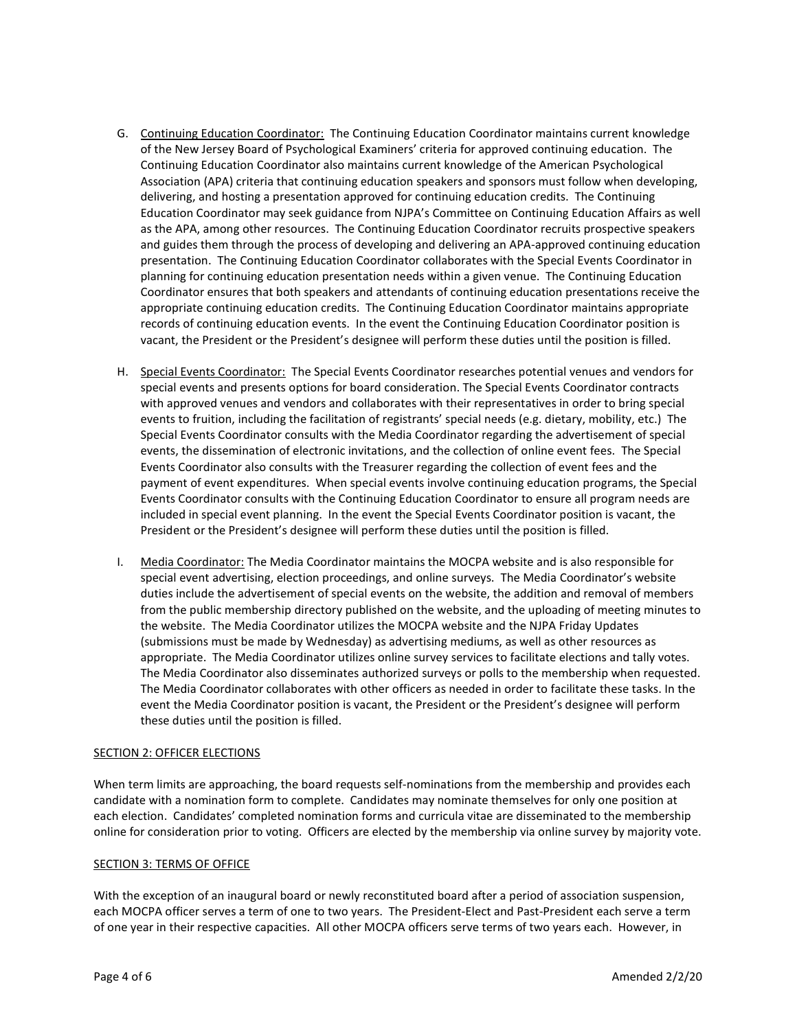- G. Continuing Education Coordinator: The Continuing Education Coordinator maintains current knowledge of the New Jersey Board of Psychological Examiners' criteria for approved continuing education. The Continuing Education Coordinator also maintains current knowledge of the American Psychological Association (APA) criteria that continuing education speakers and sponsors must follow when developing, delivering, and hosting a presentation approved for continuing education credits. The Continuing Education Coordinator may seek guidance from NJPA's Committee on Continuing Education Affairs as well as the APA, among other resources. The Continuing Education Coordinator recruits prospective speakers and guides them through the process of developing and delivering an APA-approved continuing education presentation. The Continuing Education Coordinator collaborates with the Special Events Coordinator in planning for continuing education presentation needs within a given venue. The Continuing Education Coordinator ensures that both speakers and attendants of continuing education presentations receive the appropriate continuing education credits. The Continuing Education Coordinator maintains appropriate records of continuing education events. In the event the Continuing Education Coordinator position is vacant, the President or the President's designee will perform these duties until the position is filled.
- H. Special Events Coordinator: The Special Events Coordinator researches potential venues and vendors for special events and presents options for board consideration. The Special Events Coordinator contracts with approved venues and vendors and collaborates with their representatives in order to bring special events to fruition, including the facilitation of registrants' special needs (e.g. dietary, mobility, etc.) The Special Events Coordinator consults with the Media Coordinator regarding the advertisement of special events, the dissemination of electronic invitations, and the collection of online event fees. The Special Events Coordinator also consults with the Treasurer regarding the collection of event fees and the payment of event expenditures. When special events involve continuing education programs, the Special Events Coordinator consults with the Continuing Education Coordinator to ensure all program needs are included in special event planning. In the event the Special Events Coordinator position is vacant, the President or the President's designee will perform these duties until the position is filled.
- I. Media Coordinator: The Media Coordinator maintains the MOCPA website and is also responsible for special event advertising, election proceedings, and online surveys. The Media Coordinator's website duties include the advertisement of special events on the website, the addition and removal of members from the public membership directory published on the website, and the uploading of meeting minutes to the website. The Media Coordinator utilizes the MOCPA website and the NJPA Friday Updates (submissions must be made by Wednesday) as advertising mediums, as well as other resources as appropriate. The Media Coordinator utilizes online survey services to facilitate elections and tally votes. The Media Coordinator also disseminates authorized surveys or polls to the membership when requested. The Media Coordinator collaborates with other officers as needed in order to facilitate these tasks. In the event the Media Coordinator position is vacant, the President or the President's designee will perform these duties until the position is filled.

#### SECTION 2: OFFICER ELECTIONS

When term limits are approaching, the board requests self-nominations from the membership and provides each candidate with a nomination form to complete. Candidates may nominate themselves for only one position at each election. Candidates' completed nomination forms and curricula vitae are disseminated to the membership online for consideration prior to voting. Officers are elected by the membership via online survey by majority vote.

#### **SECTION 3: TERMS OF OFFICE**

With the exception of an inaugural board or newly reconstituted board after a period of association suspension, each MOCPA officer serves a term of one to two years. The President-Elect and Past-President each serve a term of one year in their respective capacities. All other MOCPA officers serve terms of two years each. However, in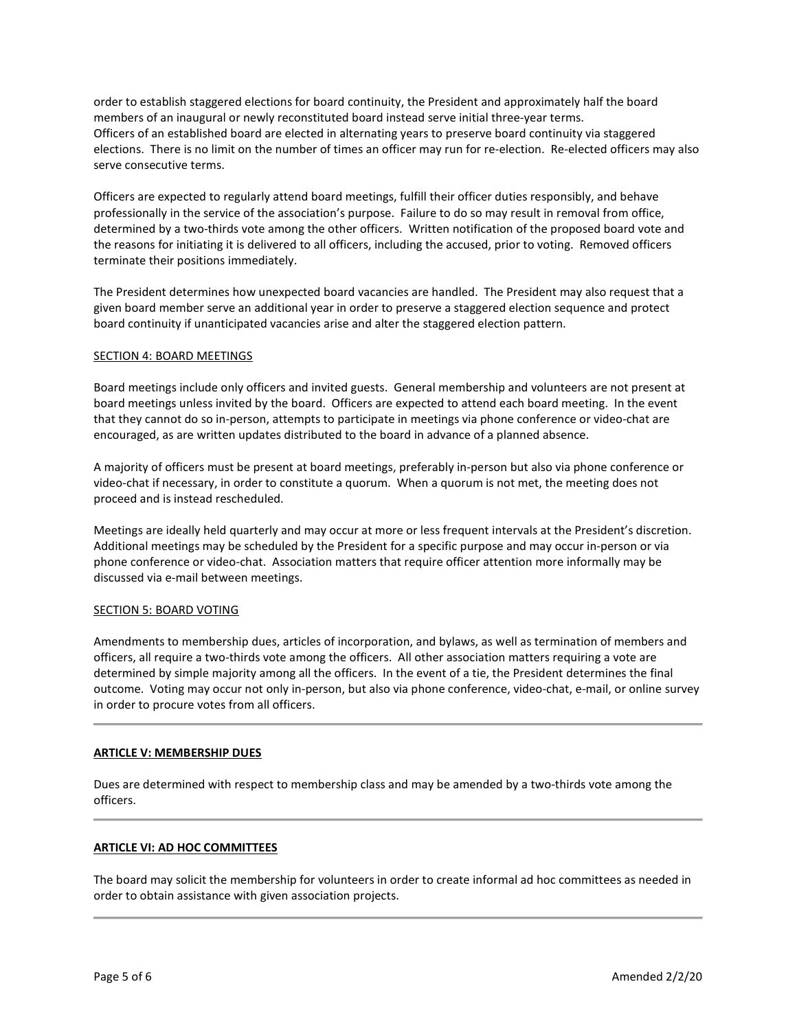order to establish staggered elections for board continuity, the President and approximately half the board members of an inaugural or newly reconstituted board instead serve initial three-year terms. Officers of an established board are elected in alternating years to preserve board continuity via staggered elections. There is no limit on the number of times an officer may run for re-election. Re-elected officers may also serve consecutive terms.

Officers are expected to regularly attend board meetings, fulfill their officer duties responsibly, and behave professionally in the service of the association's purpose. Failure to do so may result in removal from office, determined by a two-thirds vote among the other officers. Written notification of the proposed board vote and the reasons for initiating it is delivered to all officers, including the accused, prior to voting. Removed officers terminate their positions immediately.

The President determines how unexpected board vacancies are handled. The President may also request that a given board member serve an additional year in order to preserve a staggered election sequence and protect board continuity if unanticipated vacancies arise and alter the staggered election pattern.

# SECTION 4: BOARD MEETINGS

Board meetings include only officers and invited guests. General membership and volunteers are not present at board meetings unless invited by the board. Officers are expected to attend each board meeting. In the event that they cannot do so in-person, attempts to participate in meetings via phone conference or video-chat are encouraged, as are written updates distributed to the board in advance of a planned absence.

A majority of officers must be present at board meetings, preferably in-person but also via phone conference or video-chat if necessary, in order to constitute a quorum. When a quorum is not met, the meeting does not proceed and is instead rescheduled.

Meetings are ideally held quarterly and may occur at more or less frequent intervals at the President's discretion. Additional meetings may be scheduled by the President for a specific purpose and may occur in-person or via phone conference or video-chat. Association matters that require officer attention more informally may be discussed via e-mail between meetings.

# SECTION 5: BOARD VOTING

Amendments to membership dues, articles of incorporation, and bylaws, as well as termination of members and officers, all require a two-thirds vote among the officers. All other association matters requiring a vote are determined by simple majority among all the officers. In the event of a tie, the President determines the final outcome. Voting may occur not only in-person, but also via phone conference, video-chat, e-mail, or online survey in order to procure votes from all officers.

#### ARTICLE V: MEMBERSHIP DUES

Dues are determined with respect to membership class and may be amended by a two-thirds vote among the officers.

#### ARTICLE VI: AD HOC COMMITTEES

The board may solicit the membership for volunteers in order to create informal ad hoc committees as needed in order to obtain assistance with given association projects.